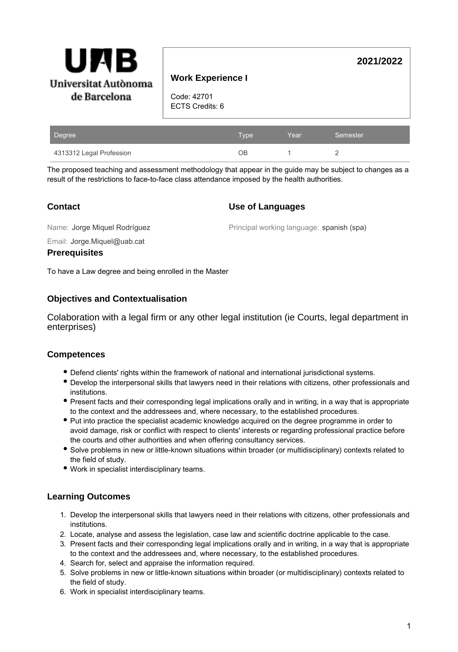

# **Work Experience I**

Code: 42701 ECTS Credits: 6

| Degree                   | <b>Type</b> | Year | Semester |
|--------------------------|-------------|------|----------|
| 4313312 Legal Profession | ЭB          |      |          |

The proposed teaching and assessment methodology that appear in the guide may be subject to changes as a result of the restrictions to face-to-face class attendance imposed by the health authorities.

# **Contact**

### **Use of Languages**

Name: Jorge Miquel Rodríguez

Principal working language: spanish (spa)

**2021/2022**

Email: Jorge.Miquel@uab.cat

#### **Prerequisites**

To have a Law degree and being enrolled in the Master

## **Objectives and Contextualisation**

Colaboration with a legal firm or any other legal institution (ie Courts, legal department in enterprises)

### **Competences**

- Defend clients' rights within the framework of national and international jurisdictional systems.
- Develop the interpersonal skills that lawyers need in their relations with citizens, other professionals and institutions.
- Present facts and their corresponding legal implications orally and in writing, in a way that is appropriate to the context and the addressees and, where necessary, to the established procedures.
- Put into practice the specialist academic knowledge acquired on the degree programme in order to avoid damage, risk or conflict with respect to clients' interests or regarding professional practice before the courts and other authorities and when offering consultancy services.
- Solve problems in new or little-known situations within broader (or multidisciplinary) contexts related to the field of study.
- Work in specialist interdisciplinary teams.

# **Learning Outcomes**

- 1. Develop the interpersonal skills that lawyers need in their relations with citizens, other professionals and institutions.
- 2. Locate, analyse and assess the legislation, case law and scientific doctrine applicable to the case.
- 3. Present facts and their corresponding legal implications orally and in writing, in a way that is appropriate to the context and the addressees and, where necessary, to the established procedures.
- 4. Search for, select and appraise the information required.
- 5. Solve problems in new or little-known situations within broader (or multidisciplinary) contexts related to the field of study.
- 6. Work in specialist interdisciplinary teams.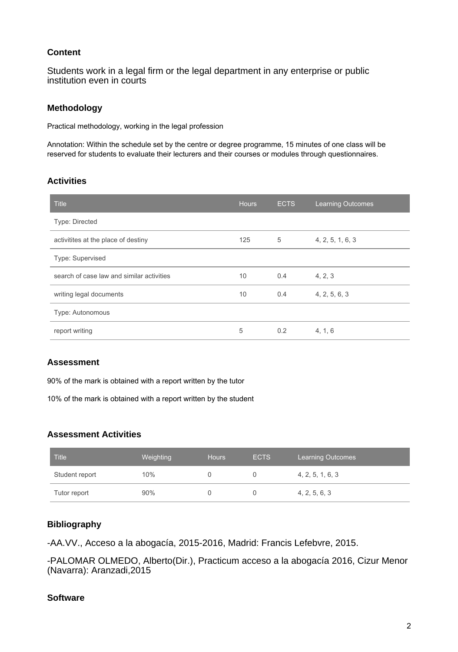# **Content**

Students work in a legal firm or the legal department in any enterprise or public institution even in courts

### **Methodology**

Practical methodology, working in the legal profession

Annotation: Within the schedule set by the centre or degree programme, 15 minutes of one class will be reserved for students to evaluate their lecturers and their courses or modules through questionnaires.

## **Activities**

| <b>Title</b>                              | <b>Hours</b> | <b>ECTS</b> | <b>Learning Outcomes</b> |
|-------------------------------------------|--------------|-------------|--------------------------|
| Type: Directed                            |              |             |                          |
| activitites at the place of destiny       | 125          | 5           | 4, 2, 5, 1, 6, 3         |
| Type: Supervised                          |              |             |                          |
| search of case law and similar activities | 10           | 0.4         | 4, 2, 3                  |
| writing legal documents                   | 10           | 0.4         | 4, 2, 5, 6, 3            |
| Type: Autonomous                          |              |             |                          |
| report writing                            | 5            | 0.2         | 4, 1, 6                  |

# **Assessment**

90% of the mark is obtained with a report written by the tutor

10% of the mark is obtained with a report written by the student

### **Assessment Activities**

| <b>Title</b>   | Weighting | <b>Hours</b> | <b>ECTS</b> | <b>Learning Outcomes</b> |
|----------------|-----------|--------------|-------------|--------------------------|
| Student report | 10%       |              |             | 4, 2, 5, 1, 6, 3         |
| Tutor report   | 90%       |              |             | 4, 2, 5, 6, 3            |

# **Bibliography**

-AA.VV., Acceso a la abogacía, 2015-2016, Madrid: Francis Lefebvre, 2015.

-PALOMAR OLMEDO, Alberto(Dir.), Practicum acceso a la abogacía 2016, Cizur Menor (Navarra): Aranzadi,2015

# **Software**